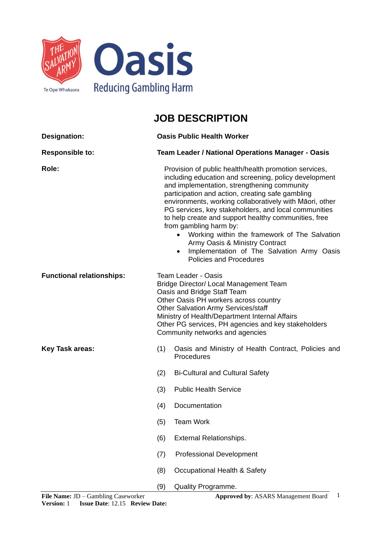

## **JOB DESCRIPTION**

| <b>Designation:</b>              | <b>Oasis Public Health Worker</b>                                                                                                                                                                                                                                                                                                      |                                                                                                                                                                                                                                                                                                                                                                                                                                                                                                                                                                                                        |  |
|----------------------------------|----------------------------------------------------------------------------------------------------------------------------------------------------------------------------------------------------------------------------------------------------------------------------------------------------------------------------------------|--------------------------------------------------------------------------------------------------------------------------------------------------------------------------------------------------------------------------------------------------------------------------------------------------------------------------------------------------------------------------------------------------------------------------------------------------------------------------------------------------------------------------------------------------------------------------------------------------------|--|
| <b>Responsible to:</b>           | Team Leader / National Operations Manager - Oasis                                                                                                                                                                                                                                                                                      |                                                                                                                                                                                                                                                                                                                                                                                                                                                                                                                                                                                                        |  |
| Role:                            |                                                                                                                                                                                                                                                                                                                                        | Provision of public health/health promotion services,<br>including education and screening, policy development<br>and implementation, strengthening community<br>participation and action, creating safe gambling<br>environments, working collaboratively with Māori, other<br>PG services, key stakeholders, and local communities<br>to help create and support healthy communities, free<br>from gambling harm by:<br>Working within the framework of The Salvation<br>Army Oasis & Ministry Contract<br>Implementation of The Salvation Army Oasis<br>$\bullet$<br><b>Policies and Procedures</b> |  |
| <b>Functional relationships:</b> | <b>Team Leader - Oasis</b><br>Bridge Director/ Local Management Team<br>Oasis and Bridge Staff Team<br>Other Oasis PH workers across country<br><b>Other Salvation Army Services/staff</b><br>Ministry of Health/Department Internal Affairs<br>Other PG services, PH agencies and key stakeholders<br>Community networks and agencies |                                                                                                                                                                                                                                                                                                                                                                                                                                                                                                                                                                                                        |  |
| <b>Key Task areas:</b>           | (1)                                                                                                                                                                                                                                                                                                                                    | Oasis and Ministry of Health Contract, Policies and<br>Procedures                                                                                                                                                                                                                                                                                                                                                                                                                                                                                                                                      |  |
|                                  | (2)                                                                                                                                                                                                                                                                                                                                    | <b>Bi-Cultural and Cultural Safety</b>                                                                                                                                                                                                                                                                                                                                                                                                                                                                                                                                                                 |  |
|                                  | (3)                                                                                                                                                                                                                                                                                                                                    | <b>Public Health Service</b>                                                                                                                                                                                                                                                                                                                                                                                                                                                                                                                                                                           |  |
|                                  | (4)                                                                                                                                                                                                                                                                                                                                    | Documentation                                                                                                                                                                                                                                                                                                                                                                                                                                                                                                                                                                                          |  |
|                                  | (5)                                                                                                                                                                                                                                                                                                                                    | <b>Team Work</b>                                                                                                                                                                                                                                                                                                                                                                                                                                                                                                                                                                                       |  |
|                                  | (6)                                                                                                                                                                                                                                                                                                                                    | <b>External Relationships.</b>                                                                                                                                                                                                                                                                                                                                                                                                                                                                                                                                                                         |  |
|                                  | (7)                                                                                                                                                                                                                                                                                                                                    | <b>Professional Development</b>                                                                                                                                                                                                                                                                                                                                                                                                                                                                                                                                                                        |  |
|                                  | (8)                                                                                                                                                                                                                                                                                                                                    | Occupational Health & Safety                                                                                                                                                                                                                                                                                                                                                                                                                                                                                                                                                                           |  |
|                                  | (9)                                                                                                                                                                                                                                                                                                                                    | Quality Programme.                                                                                                                                                                                                                                                                                                                                                                                                                                                                                                                                                                                     |  |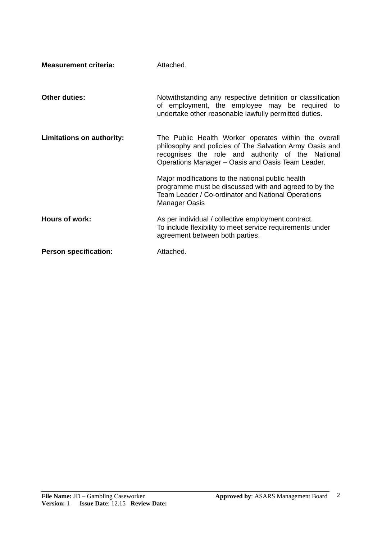| <b>Measurement criteria:</b> | Attached.                                                                                                                                                                                                                 |
|------------------------------|---------------------------------------------------------------------------------------------------------------------------------------------------------------------------------------------------------------------------|
| <b>Other duties:</b>         | Notwithstanding any respective definition or classification<br>of employment, the employee may be required to<br>undertake other reasonable lawfully permitted duties.                                                    |
| Limitations on authority:    | The Public Health Worker operates within the overall<br>philosophy and policies of The Salvation Army Oasis and<br>recognises the role and authority of the National<br>Operations Manager - Oasis and Oasis Team Leader. |
|                              | Major modifications to the national public health<br>programme must be discussed with and agreed to by the<br>Team Leader / Co-ordinator and National Operations<br><b>Manager Oasis</b>                                  |
| Hours of work:               | As per individual / collective employment contract.<br>To include flexibility to meet service requirements under<br>agreement between both parties.                                                                       |
| <b>Person specification:</b> | Attached.                                                                                                                                                                                                                 |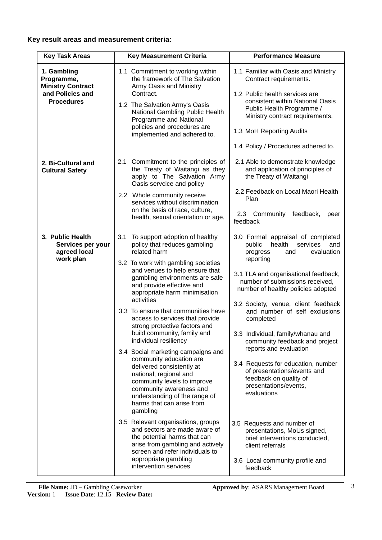## **Key result areas and measurement criteria:**

| <b>Key Task Areas</b>                                                                          | <b>Key Measurement Criteria</b>                                                                                                                                                                                                                                                                                                                                                                                                                                                                                                                                                                                                                                                                                                                                                                                                                                                                                                            | <b>Performance Measure</b>                                                                                                                                                                                                                                                                                                                                                                                                                                                                                                                                                                                                                                                                                                             |  |  |
|------------------------------------------------------------------------------------------------|--------------------------------------------------------------------------------------------------------------------------------------------------------------------------------------------------------------------------------------------------------------------------------------------------------------------------------------------------------------------------------------------------------------------------------------------------------------------------------------------------------------------------------------------------------------------------------------------------------------------------------------------------------------------------------------------------------------------------------------------------------------------------------------------------------------------------------------------------------------------------------------------------------------------------------------------|----------------------------------------------------------------------------------------------------------------------------------------------------------------------------------------------------------------------------------------------------------------------------------------------------------------------------------------------------------------------------------------------------------------------------------------------------------------------------------------------------------------------------------------------------------------------------------------------------------------------------------------------------------------------------------------------------------------------------------------|--|--|
| 1. Gambling<br>Programme,<br><b>Ministry Contract</b><br>and Policies and<br><b>Procedures</b> | 1.1 Commitment to working within<br>the framework of The Salvation<br>Army Oasis and Ministry<br>Contract.<br>1.2 The Salvation Army's Oasis<br>National Gambling Public Health<br>Programme and National<br>policies and procedures are<br>implemented and adhered to.                                                                                                                                                                                                                                                                                                                                                                                                                                                                                                                                                                                                                                                                    | 1.1 Familiar with Oasis and Ministry<br>Contract requirements.<br>1.2 Public health services are<br>consistent within National Oasis<br>Public Health Programme /<br>Ministry contract requirements.<br>1.3 MoH Reporting Audits<br>1.4 Policy / Procedures adhered to.                                                                                                                                                                                                                                                                                                                                                                                                                                                                |  |  |
| 2. Bi-Cultural and<br><b>Cultural Safety</b>                                                   | 2.1 Commitment to the principles of<br>the Treaty of Waitangi as they<br>apply to The Salvation Army<br>Oasis servcice and policy<br>2.2 Whole community receive<br>services without discrimination<br>on the basis of race, culture,<br>health, sexual orientation or age.                                                                                                                                                                                                                                                                                                                                                                                                                                                                                                                                                                                                                                                                | 2.1 Able to demonstrate knowledge<br>and application of principles of<br>the Treaty of Waitangi<br>2.2 Feedback on Local Maori Health<br>Plan<br>Community<br>feedback,<br>2.3<br>peer<br>feedback                                                                                                                                                                                                                                                                                                                                                                                                                                                                                                                                     |  |  |
| 3. Public Health<br>Services per your<br>agreed local<br>work plan                             | 3.1<br>To support adoption of healthy<br>policy that reduces gambling<br>related harm<br>3.2 To work with gambling societies<br>and venues to help ensure that<br>gambling environments are safe<br>and provide effective and<br>appropriate harm minimisation<br>activities<br>3.3 To ensure that communities have<br>access to services that provide<br>strong protective factors and<br>build community, family and<br>individual resiliency<br>3.4 Social marketing campaigns and<br>community education are<br>delivered consistently at<br>national, regional and<br>community levels to improve<br>community awareness and<br>understanding of the range of<br>harms that can arise from<br>gambling<br>3.5 Relevant organisations, groups<br>and sectors are made aware of<br>the potential harms that can<br>arise from gambling and actively<br>screen and refer individuals to<br>appropriate gambling<br>intervention services | 3.0 Formal appraisal of completed<br>health<br>public<br>services<br>and<br>evaluation<br>progress<br>and<br>reporting<br>3.1 TLA and organisational feedback,<br>number of submissions received,<br>number of healthy policies adopted<br>3.2 Society, venue, client feedback<br>and number of self exclusions<br>completed<br>3.3 Individual, family/whanau and<br>community feedback and project<br>reports and evaluation<br>3.4 Requests for education, number<br>of presentations/events and<br>feedback on quality of<br>presentations/events,<br>evaluations<br>3.5 Requests and number of<br>presentations, MoUs signed,<br>brief interventions conducted,<br>client referrals<br>3.6 Local community profile and<br>feedback |  |  |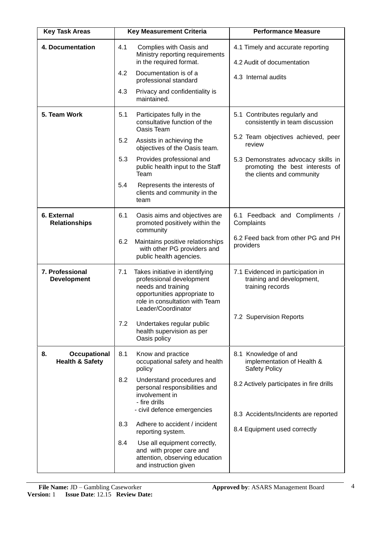| <b>Key Task Areas</b>                                   | <b>Key Measurement Criteria</b> |                                                                                                                                                                           | <b>Performance Measure</b>                                                                                    |  |  |
|---------------------------------------------------------|---------------------------------|---------------------------------------------------------------------------------------------------------------------------------------------------------------------------|---------------------------------------------------------------------------------------------------------------|--|--|
| 4. Documentation                                        | 4.1                             | Complies with Oasis and<br>Ministry reporting requirements<br>in the required format.                                                                                     | 4.1 Timely and accurate reporting<br>4.2 Audit of documentation                                               |  |  |
|                                                         | 4.2                             | Documentation is of a<br>professional standard                                                                                                                            | 4.3 Internal audits                                                                                           |  |  |
|                                                         | 4.3                             | Privacy and confidentiality is<br>maintained.                                                                                                                             |                                                                                                               |  |  |
| 5. Team Work                                            | 5.1                             | Participates fully in the<br>consultative function of the<br>Oasis Team                                                                                                   | 5.1 Contributes regularly and<br>consistently in team discussion                                              |  |  |
|                                                         | 5.2                             | Assists in achieving the<br>objectives of the Oasis team.                                                                                                                 | 5.2 Team objectives achieved, peer<br>review                                                                  |  |  |
|                                                         | 5.3                             | Provides professional and<br>public health input to the Staff<br>Team                                                                                                     | 5.3 Demonstrates advocacy skills in<br>promoting the best interests of<br>the clients and community           |  |  |
|                                                         | 5.4                             | Represents the interests of<br>clients and community in the<br>team                                                                                                       |                                                                                                               |  |  |
| 6. External<br><b>Relationships</b>                     | 6.1                             | Oasis aims and objectives are<br>promoted positively within the<br>community                                                                                              | 6.1 Feedback and Compliments /<br>Complaints                                                                  |  |  |
|                                                         | 6.2                             | Maintains positive relationships<br>with other PG providers and<br>public health agencies.                                                                                | 6.2 Feed back from other PG and PH<br>providers                                                               |  |  |
| 7. Professional<br><b>Development</b>                   | 7.1                             | Takes initiative in identifying<br>professional development<br>needs and training<br>opportunities appropriate to<br>role in consultation with Team<br>Leader/Coordinator | 7.1 Evidenced in participation in<br>training and development,<br>training records<br>7.2 Supervision Reports |  |  |
|                                                         | 7.2                             | Undertakes regular public<br>health supervision as per<br>Oasis policy                                                                                                    |                                                                                                               |  |  |
| 8.<br><b>Occupational</b><br><b>Health &amp; Safety</b> | 8.1                             | Know and practice<br>occupational safety and health<br>policy                                                                                                             | 8.1 Knowledge of and<br>implementation of Health &<br><b>Safety Policy</b>                                    |  |  |
|                                                         | 8.2                             | Understand procedures and<br>personal responsibilities and<br>involvement in<br>- fire drills                                                                             | 8.2 Actively participates in fire drills                                                                      |  |  |
|                                                         |                                 | - civil defence emergencies                                                                                                                                               | 8.3 Accidents/Incidents are reported                                                                          |  |  |
|                                                         | 8.3                             | Adhere to accident / incident<br>reporting system.                                                                                                                        | 8.4 Equipment used correctly                                                                                  |  |  |
|                                                         | 8.4                             | Use all equipment correctly,<br>and with proper care and<br>attention, observing education<br>and instruction given                                                       |                                                                                                               |  |  |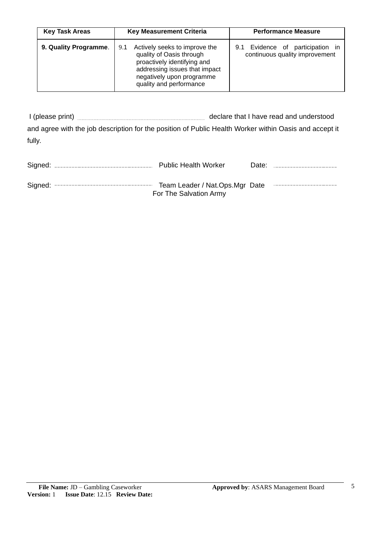| <b>Key Task Areas</b> | <b>Key Measurement Criteria</b>                                                                                                                                                          | <b>Performance Measure</b>                                         |  |  |
|-----------------------|------------------------------------------------------------------------------------------------------------------------------------------------------------------------------------------|--------------------------------------------------------------------|--|--|
| 9. Quality Programme. | Actively seeks to improve the<br>9.1<br>quality of Oasis through<br>proactively identifying and<br>addressing issues that impact<br>negatively upon programme<br>quality and performance | 9.1 Evidence of participation in<br>continuous quality improvement |  |  |

I (please print) **I** (please print) and agree with the job description for the position of Public Health Worker within Oasis and accept it fully.

|  | <b>Public Health Worker</b>                              | Date: |  |
|--|----------------------------------------------------------|-------|--|
|  | Team Leader / Nat.Ops.Mgr Date<br>For The Salvation Army |       |  |